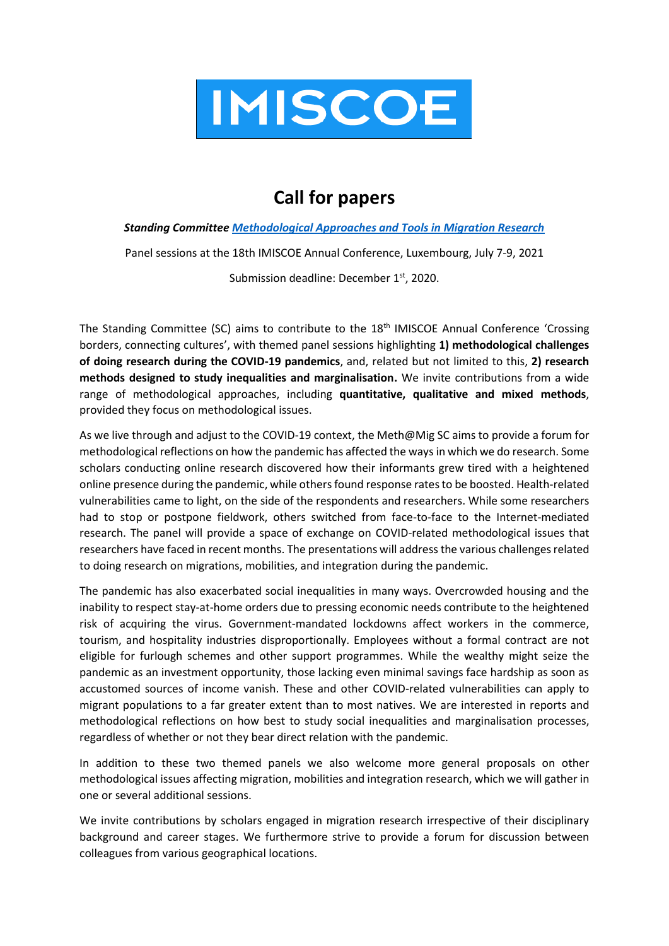

## **Call for papers**

## *Standing Committe[e Methodological Approaches and Tools in Migration Research](https://www.imiscoe.org/research/standing-committees/936-methodological-approaches-and-tools-in-migration-research)*

Panel sessions at the 18th IMISCOE Annual Conference, Luxembourg, July 7-9, 2021

Submission deadline: December 1<sup>st</sup>, 2020.

The Standing Committee (SC) aims to contribute to the 18<sup>th</sup> IMISCOE Annual Conference 'Crossing borders, connecting cultures', with themed panel sessions highlighting **1) methodological challenges of doing research during the COVID-19 pandemics**, and, related but not limited to this, **2) research methods designed to study inequalities and marginalisation.** We invite contributions from a wide range of methodological approaches, including **quantitative, qualitative and mixed methods**, provided they focus on methodological issues.

As we live through and adjust to the COVID-19 context, the Meth@Mig SC aims to provide a forum for methodological reflections on how the pandemic has affected the ways in which we do research. Some scholars conducting online research discovered how their informants grew tired with a heightened online presence during the pandemic, while others found response rates to be boosted. Health-related vulnerabilities came to light, on the side of the respondents and researchers. While some researchers had to stop or postpone fieldwork, others switched from face-to-face to the Internet-mediated research. The panel will provide a space of exchange on COVID-related methodological issues that researchers have faced in recent months. The presentations will address the various challenges related to doing research on migrations, mobilities, and integration during the pandemic.

The pandemic has also exacerbated social inequalities in many ways. Overcrowded housing and the inability to respect stay-at-home orders due to pressing economic needs contribute to the heightened risk of acquiring the virus. Government-mandated lockdowns affect workers in the commerce, tourism, and hospitality industries disproportionally. Employees without a formal contract are not eligible for furlough schemes and other support programmes. While the wealthy might seize the pandemic as an investment opportunity, those lacking even minimal savings face hardship as soon as accustomed sources of income vanish. These and other COVID-related vulnerabilities can apply to migrant populations to a far greater extent than to most natives. We are interested in reports and methodological reflections on how best to study social inequalities and marginalisation processes, regardless of whether or not they bear direct relation with the pandemic.

In addition to these two themed panels we also welcome more general proposals on other methodological issues affecting migration, mobilities and integration research, which we will gather in one or several additional sessions.

We invite contributions by scholars engaged in migration research irrespective of their disciplinary background and career stages. We furthermore strive to provide a forum for discussion between colleagues from various geographical locations.